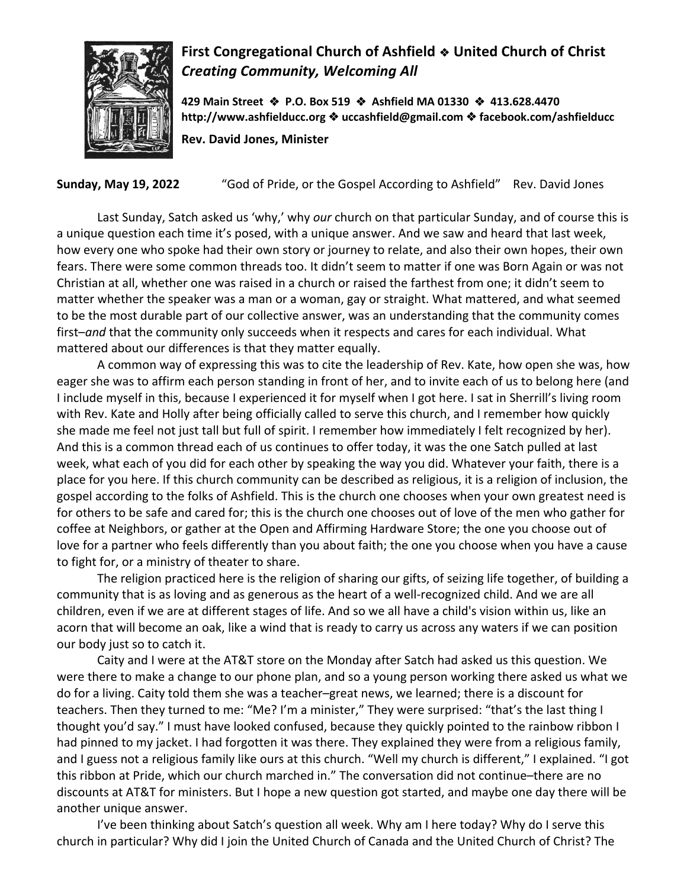

## **First Congregational Church of Ashfield** ! **United Church of Christ** *Creating Community, Welcoming All*

**429 Main Street** ! **P.O. Box 519** ! **Ashfield MA 01330** ! **413.628.4470 http://www.ashfielducc.org** ! **uccashfield@gmail.com** ! **facebook.com/ashfielducc**

**Rev. David Jones, Minister**

**Sunday, May 19, 2022** "God of Pride, or the Gospel According to Ashfield" Rev. David Jones

Last Sunday, Satch asked us 'why,' why *our* church on that particular Sunday, and of course this is a unique question each time it's posed, with a unique answer. And we saw and heard that last week, how every one who spoke had their own story or journey to relate, and also their own hopes, their own fears. There were some common threads too. It didn't seem to matter if one was Born Again or was not Christian at all, whether one was raised in a church or raised the farthest from one; it didn't seem to matter whether the speaker was a man or a woman, gay or straight. What mattered, and what seemed to be the most durable part of our collective answer, was an understanding that the community comes first–*and* that the community only succeeds when it respects and cares for each individual. What mattered about our differences is that they matter equally.

A common way of expressing this was to cite the leadership of Rev. Kate, how open she was, how eager she was to affirm each person standing in front of her, and to invite each of us to belong here (and I include myself in this, because I experienced it for myself when I got here. I sat in Sherrill's living room with Rev. Kate and Holly after being officially called to serve this church, and I remember how quickly she made me feel not just tall but full of spirit. I remember how immediately I felt recognized by her). And this is a common thread each of us continues to offer today, it was the one Satch pulled at last week, what each of you did for each other by speaking the way you did. Whatever your faith, there is a place for you here. If this church community can be described as religious, it is a religion of inclusion, the gospel according to the folks of Ashfield. This is the church one chooses when your own greatest need is for others to be safe and cared for; this is the church one chooses out of love of the men who gather for coffee at Neighbors, or gather at the Open and Affirming Hardware Store; the one you choose out of love for a partner who feels differently than you about faith; the one you choose when you have a cause to fight for, or a ministry of theater to share.

The religion practiced here is the religion of sharing our gifts, of seizing life together, of building a community that is as loving and as generous as the heart of a well-recognized child. And we are all children, even if we are at different stages of life. And so we all have a child's vision within us, like an acorn that will become an oak, like a wind that is ready to carry us across any waters if we can position our body just so to catch it.

Caity and I were at the AT&T store on the Monday after Satch had asked us this question. We were there to make a change to our phone plan, and so a young person working there asked us what we do for a living. Caity told them she was a teacher–great news, we learned; there is a discount for teachers. Then they turned to me: "Me? I'm a minister," They were surprised: "that's the last thing I thought you'd say." I must have looked confused, because they quickly pointed to the rainbow ribbon I had pinned to my jacket. I had forgotten it was there. They explained they were from a religious family, and I guess not a religious family like ours at this church. "Well my church is different," I explained. "I got this ribbon at Pride, which our church marched in." The conversation did not continue–there are no discounts at AT&T for ministers. But I hope a new question got started, and maybe one day there will be another unique answer.

I've been thinking about Satch's question all week. Why am I here today? Why do I serve this church in particular? Why did I join the United Church of Canada and the United Church of Christ? The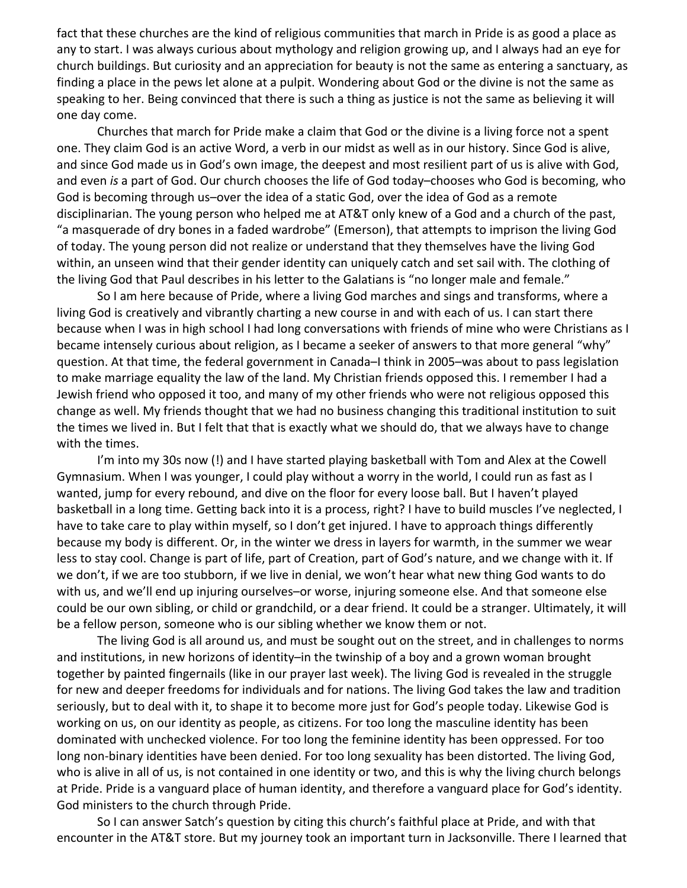fact that these churches are the kind of religious communities that march in Pride is as good a place as any to start. I was always curious about mythology and religion growing up, and I always had an eye for church buildings. But curiosity and an appreciation for beauty is not the same as entering a sanctuary, as finding a place in the pews let alone at a pulpit. Wondering about God or the divine is not the same as speaking to her. Being convinced that there is such a thing as justice is not the same as believing it will one day come.

Churches that march for Pride make a claim that God or the divine is a living force not a spent one. They claim God is an active Word, a verb in our midst as well as in our history. Since God is alive, and since God made us in God's own image, the deepest and most resilient part of us is alive with God, and even *is* a part of God. Our church chooses the life of God today–chooses who God is becoming, who God is becoming through us–over the idea of a static God, over the idea of God as a remote disciplinarian. The young person who helped me at AT&T only knew of a God and a church of the past, "a masquerade of dry bones in a faded wardrobe" (Emerson), that attempts to imprison the living God of today. The young person did not realize or understand that they themselves have the living God within, an unseen wind that their gender identity can uniquely catch and set sail with. The clothing of the living God that Paul describes in his letter to the Galatians is "no longer male and female."

So I am here because of Pride, where a living God marches and sings and transforms, where a living God is creatively and vibrantly charting a new course in and with each of us. I can start there because when I was in high school I had long conversations with friends of mine who were Christians as I became intensely curious about religion, as I became a seeker of answers to that more general "why" question. At that time, the federal government in Canada–I think in 2005–was about to pass legislation to make marriage equality the law of the land. My Christian friends opposed this. I remember I had a Jewish friend who opposed it too, and many of my other friends who were not religious opposed this change as well. My friends thought that we had no business changing this traditional institution to suit the times we lived in. But I felt that that is exactly what we should do, that we always have to change with the times.

I'm into my 30s now (!) and I have started playing basketball with Tom and Alex at the Cowell Gymnasium. When I was younger, I could play without a worry in the world, I could run as fast as I wanted, jump for every rebound, and dive on the floor for every loose ball. But I haven't played basketball in a long time. Getting back into it is a process, right? I have to build muscles I've neglected, I have to take care to play within myself, so I don't get injured. I have to approach things differently because my body is different. Or, in the winter we dress in layers for warmth, in the summer we wear less to stay cool. Change is part of life, part of Creation, part of God's nature, and we change with it. If we don't, if we are too stubborn, if we live in denial, we won't hear what new thing God wants to do with us, and we'll end up injuring ourselves–or worse, injuring someone else. And that someone else could be our own sibling, or child or grandchild, or a dear friend. It could be a stranger. Ultimately, it will be a fellow person, someone who is our sibling whether we know them or not.

The living God is all around us, and must be sought out on the street, and in challenges to norms and institutions, in new horizons of identity–in the twinship of a boy and a grown woman brought together by painted fingernails (like in our prayer last week). The living God is revealed in the struggle for new and deeper freedoms for individuals and for nations. The living God takes the law and tradition seriously, but to deal with it, to shape it to become more just for God's people today. Likewise God is working on us, on our identity as people, as citizens. For too long the masculine identity has been dominated with unchecked violence. For too long the feminine identity has been oppressed. For too long non-binary identities have been denied. For too long sexuality has been distorted. The living God, who is alive in all of us, is not contained in one identity or two, and this is why the living church belongs at Pride. Pride is a vanguard place of human identity, and therefore a vanguard place for God's identity. God ministers to the church through Pride.

So I can answer Satch's question by citing this church's faithful place at Pride, and with that encounter in the AT&T store. But my journey took an important turn in Jacksonville. There I learned that